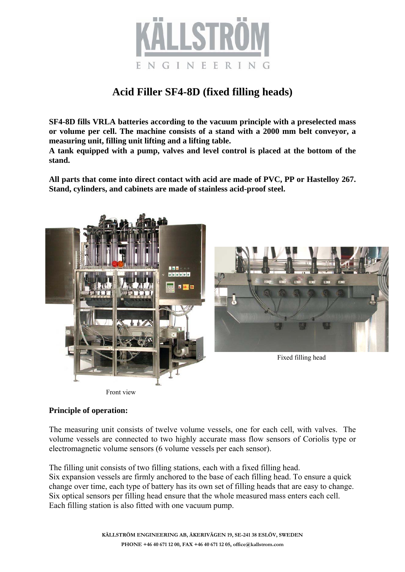

# **Acid Filler SF4-8D (fixed filling heads)**

**SF4-8D fills VRLA batteries according to the vacuum principle with a preselected mass or volume per cell. The machine consists of a stand with a 2000 mm belt conveyor, a measuring unit, filling unit lifting and a lifting table.** 

**A tank equipped with a pump, valves and level control is placed at the bottom of the stand.** 

**All parts that come into direct contact with acid are made of PVC, PP or Hastelloy 267. Stand, cylinders, and cabinets are made of stainless acid-proof steel.** 



# **Principle of operation:**

The measuring unit consists of twelve volume vessels, one for each cell, with valves. The volume vessels are connected to two highly accurate mass flow sensors of Coriolis type or electromagnetic volume sensors (6 volume vessels per each sensor).

The filling unit consists of two filling stations, each with a fixed filling head. Six expansion vessels are firmly anchored to the base of each filling head. To ensure a quick change over time, each type of battery has its own set of filling heads that are easy to change. Six optical sensors per filling head ensure that the whole measured mass enters each cell. Each filling station is also fitted with one vacuum pump.